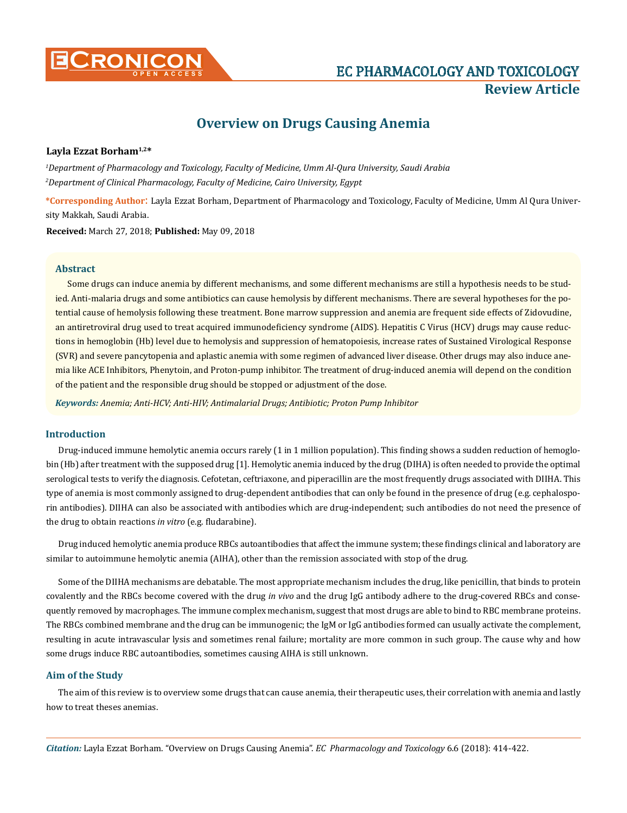

# **CRONICON EC PHARMACOLOGY AND TOXICOLOGY Review Article**

## **Overview on Drugs Causing Anemia**

## **Layla Ezzat Borham1,2\***

*1 Department of Pharmacology and Toxicology, Faculty of Medicine, Umm Al-Qura University, Saudi Arabia 2 Department of Clinical Pharmacology, Faculty of Medicine, Cairo University, Egypt* 

**\*Corresponding Author**: Layla Ezzat Borham, Department of Pharmacology and Toxicology, Faculty of Medicine, Umm Al Qura University Makkah, Saudi Arabia.

**Received:** March 27, 2018; **Published:** May 09, 2018

## **Abstract**

Some drugs can induce anemia by different mechanisms, and some different mechanisms are still a hypothesis needs to be studied. Anti-malaria drugs and some antibiotics can cause hemolysis by different mechanisms. There are several hypotheses for the potential cause of hemolysis following these treatment. Bone marrow suppression and anemia are frequent side effects of Zidovudine, an antiretroviral drug used to treat acquired immunodeficiency syndrome (AIDS). Hepatitis C Virus (HCV) drugs may cause reductions in hemoglobin (Hb) level due to hemolysis and suppression of hematopoiesis, increase rates of Sustained Virological Response (SVR) and severe pancytopenia and aplastic anemia with some regimen of advanced liver disease. Other drugs may also induce anemia like ACE Inhibitors, Phenytoin, and Proton-pump inhibitor. The treatment of drug-induced anemia will depend on the condition of the patient and the responsible drug should be stopped or adjustment of the dose.

*Keywords: Anemia; Anti-HCV; Anti-HIV; Antimalarial Drugs; Antibiotic; Proton Pump Inhibitor* 

## **Introduction**

Drug-induced immune hemolytic anemia occurs rarely (1 in 1 million population). This finding shows a sudden reduction of hemoglobin (Hb) after treatment with the supposed drug [1]. Hemolytic anemia induced by the drug (DIHA) is often needed to provide the optimal serological tests to verify the diagnosis. Cefotetan, ceftriaxone, and piperacillin are the most frequently drugs associated with DIIHA. This type of anemia is most commonly assigned to drug-dependent antibodies that can only be found in the presence of drug (e.g. cephalosporin antibodies). DIIHA can also be associated with antibodies which are drug-independent; such antibodies do not need the presence of the drug to obtain reactions *in vitro* (e.g. fludarabine).

Drug induced hemolytic anemia produce RBCs autoantibodies that affect the immune system; these findings clinical and laboratory are similar to autoimmune hemolytic anemia (AIHA), other than the remission associated with stop of the drug.

Some of the DIIHA mechanisms are debatable. The most appropriate mechanism includes the drug, like penicillin, that binds to protein covalently and the RBCs become covered with the drug *in vivo* and the drug IgG antibody adhere to the drug-covered RBCs and consequently removed by macrophages. The immune complex mechanism, suggest that most drugs are able to bind to RBC membrane proteins. The RBCs combined membrane and the drug can be immunogenic; the IgM or IgG antibodies formed can usually activate the complement, resulting in acute intravascular lysis and sometimes renal failure; mortality are more common in such group. The cause why and how some drugs induce RBC autoantibodies, sometimes causing AIHA is still unknown.

## **Aim of the Study**

The aim of this review is to overview some drugs that can cause anemia, their therapeutic uses, their correlation with anemia and lastly how to treat theses anemias.

*Citation:* Layla Ezzat Borham. "Overview on Drugs Causing Anemia". *EC Pharmacology and Toxicology* 6.6 (2018): 414-422.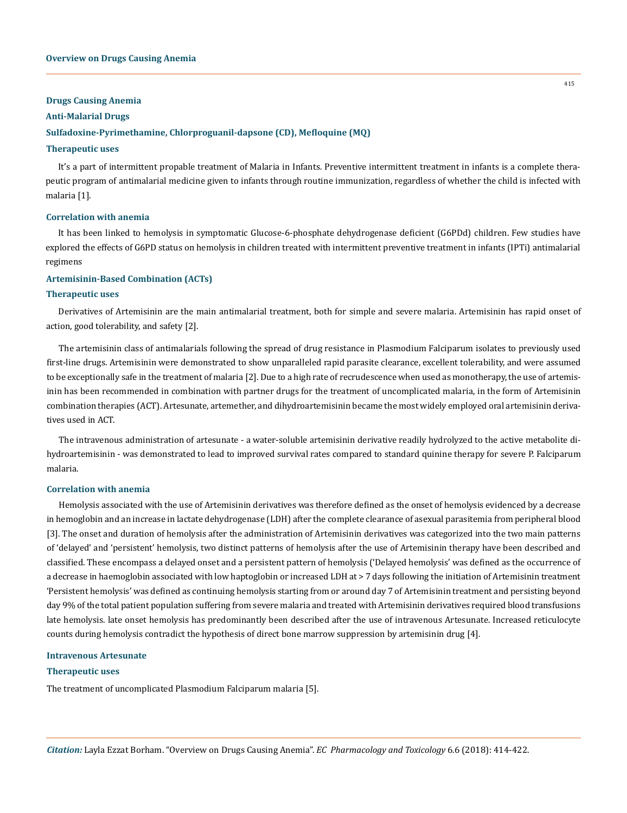#### **Drugs Causing Anemia**

#### **Anti-Malarial Drugs**

## **Sulfadoxine-Pyrimethamine, Chlorproguanil-dapsone (CD), Mefloquine (MQ)**

#### **Therapeutic uses**

It's a part of intermittent propable treatment of Malaria in Infants. Preventive intermittent treatment in infants is a complete therapeutic program of antimalarial medicine given to infants through routine immunization, regardless of whether the child is infected with malaria [1].

#### **Correlation with anemia**

It has been linked to hemolysis in symptomatic Glucose-6-phosphate dehydrogenase deficient (G6PDd) children. Few studies have explored the effects of G6PD status on hemolysis in children treated with intermittent preventive treatment in infants (IPTi) antimalarial regimens

## **Artemisinin-Based Combination (ACTs)**

#### **Therapeutic uses**

Derivatives of Artemisinin are the main antimalarial treatment, both for simple and severe malaria. Artemisinin has rapid onset of action, good tolerability, and safety [2].

The artemisinin class of antimalarials following the spread of drug resistance in Plasmodium Falciparum isolates to previously used first-line drugs. Artemisinin were demonstrated to show unparalleled rapid parasite clearance, excellent tolerability, and were assumed to be exceptionally safe in the treatment of malaria [2]. Due to a high rate of recrudescence when used as monotherapy, the use of artemisinin has been recommended in combination with partner drugs for the treatment of uncomplicated malaria, in the form of Artemisinin combination therapies (ACT). Artesunate, artemether, and dihydroartemisinin became the most widely employed oral artemisinin derivatives used in ACT.

The intravenous administration of artesunate - a water-soluble artemisinin derivative readily hydrolyzed to the active metabolite dihydroartemisinin - was demonstrated to lead to improved survival rates compared to standard quinine therapy for severe P. Falciparum malaria.

#### **Correlation with anemia**

Hemolysis associated with the use of Artemisinin derivatives was therefore defined as the onset of hemolysis evidenced by a decrease in hemoglobin and an increase in lactate dehydrogenase (LDH) after the complete clearance of asexual parasitemia from peripheral blood [3]. The onset and duration of hemolysis after the administration of Artemisinin derivatives was categorized into the two main patterns of 'delayed' and 'persistent' hemolysis, two distinct patterns of hemolysis after the use of Artemisinin therapy have been described and classified. These encompass a delayed onset and a persistent pattern of hemolysis ('Delayed hemolysis' was defined as the occurrence of a decrease in haemoglobin associated with low haptoglobin or increased LDH at > 7 days following the initiation of Artemisinin treatment 'Persistent hemolysis' was defined as continuing hemolysis starting from or around day 7 of Artemisinin treatment and persisting beyond day 9% of the total patient population suffering from severe malaria and treated with Artemisinin derivatives required blood transfusions late hemolysis. late onset hemolysis has predominantly been described after the use of intravenous Artesunate. Increased reticulocyte counts during hemolysis contradict the hypothesis of direct bone marrow suppression by artemisinin drug [4].

#### **Intravenous Artesunate**

#### **Therapeutic uses**

The treatment of uncomplicated Plasmodium Falciparum malaria [5].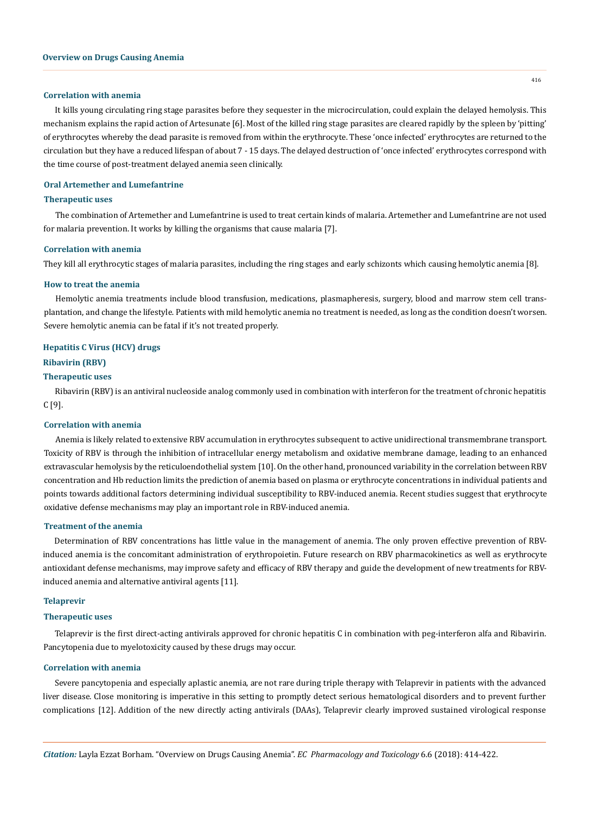#### **Correlation with anemia**

It kills young circulating ring stage parasites before they sequester in the microcirculation, could explain the delayed hemolysis. This mechanism explains the rapid action of Artesunate [6]. Most of the killed ring stage parasites are cleared rapidly by the spleen by 'pitting' of erythrocytes whereby the dead parasite is removed from within the erythrocyte. These 'once infected' erythrocytes are returned to the circulation but they have a reduced lifespan of about 7 - 15 days. The delayed destruction of 'once infected' erythrocytes correspond with the time course of post-treatment delayed anemia seen clinically.

## **Oral Artemether and Lumefantrine**

#### **Therapeutic uses**

The combination of Artemether and Lumefantrine is used to treat certain kinds of malaria. Artemether and Lumefantrine are not used for malaria prevention. It works by killing the organisms that cause malaria [7].

#### **Correlation with anemia**

They kill all erythrocytic stages of malaria parasites, including the ring stages and early schizonts which causing hemolytic anemia [8].

#### **How to treat the anemia**

Hemolytic anemia treatments include blood transfusion, medications, plasmapheresis, surgery, blood and marrow stem cell transplantation, and change the lifestyle. Patients with mild hemolytic anemia no treatment is needed, as long as the condition doesn't worsen. Severe hemolytic anemia can be fatal if it's not treated properly.

### **Hepatitis C Virus (HCV) drugs**

#### **Ribavirin (RBV)**

## **Therapeutic uses**

Ribavirin (RBV) is an antiviral nucleoside analog commonly used in combination with interferon for the treatment of chronic hepatitis C [9].

#### **Correlation with anemia**

Anemia is likely related to extensive RBV accumulation in erythrocytes subsequent to active unidirectional transmembrane transport. Toxicity of RBV is through the inhibition of intracellular energy metabolism and oxidative membrane damage, leading to an enhanced extravascular hemolysis by the reticuloendothelial system [10]. On the other hand, pronounced variability in the correlation between RBV concentration and Hb reduction limits the prediction of anemia based on plasma or erythrocyte concentrations in individual patients and points towards additional factors determining individual susceptibility to RBV-induced anemia. Recent studies suggest that erythrocyte oxidative defense mechanisms may play an important role in RBV-induced anemia.

## **Treatment of the anemia**

Determination of RBV concentrations has little value in the management of anemia. The only proven effective prevention of RBVinduced anemia is the concomitant administration of erythropoietin. Future research on RBV pharmacokinetics as well as erythrocyte antioxidant defense mechanisms, may improve safety and efficacy of RBV therapy and guide the development of new treatments for RBVinduced anemia and alternative antiviral agents [11].

## **Telaprevir**

#### **Therapeutic uses**

Telaprevir is the first direct-acting antivirals approved for chronic hepatitis C in combination with peg-interferon alfa and Ribavirin. Pancytopenia due to myelotoxicity caused by these drugs may occur.

#### **Correlation with anemia**

Severe pancytopenia and especially aplastic anemia, are not rare during triple therapy with Telaprevir in patients with the advanced liver disease. Close monitoring is imperative in this setting to promptly detect serious hematological disorders and to prevent further complications [12]. Addition of the new directly acting antivirals (DAAs), Telaprevir clearly improved sustained virological response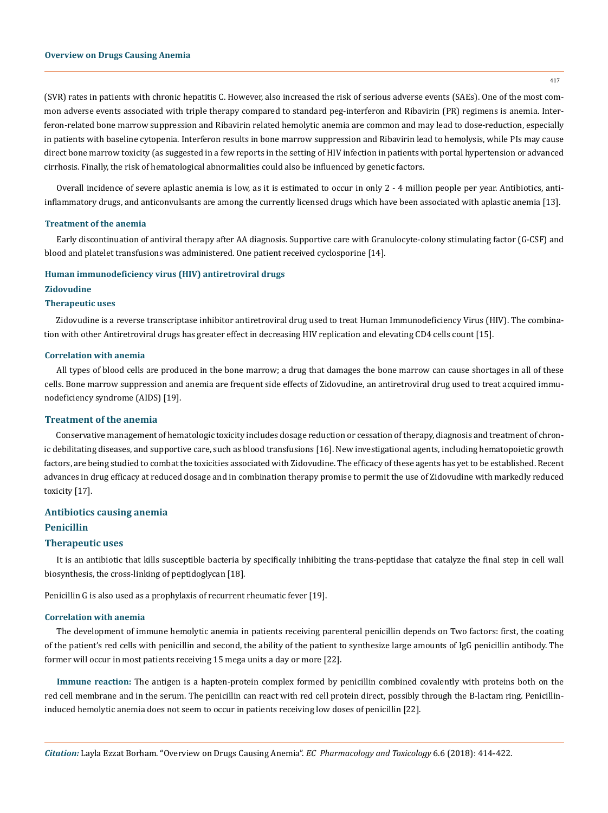(SVR) rates in patients with chronic hepatitis C. However, also increased the risk of serious adverse events (SAEs). One of the most common adverse events associated with triple therapy compared to standard peg-interferon and Ribavirin (PR) regimens is anemia. Interferon-related bone marrow suppression and Ribavirin related hemolytic anemia are common and may lead to dose-reduction, especially in patients with baseline cytopenia. Interferon results in bone marrow suppression and Ribavirin lead to hemolysis, while PIs may cause direct bone marrow toxicity (as suggested in a few reports in the setting of HIV infection in patients with portal hypertension or advanced cirrhosis. Finally, the risk of hematological abnormalities could also be influenced by genetic factors.

Overall incidence of severe aplastic anemia is low, as it is estimated to occur in only 2 - 4 million people per year. Antibiotics, antiinflammatory drugs, and anticonvulsants are among the currently licensed drugs which have been associated with aplastic anemia [13].

#### **Treatment of the anemia**

Early discontinuation of antiviral therapy after AA diagnosis. Supportive care with Granulocyte-colony stimulating factor (G-CSF) and blood and platelet transfusions was administered. One patient received cyclosporine [14].

#### **Human immunodeficiency virus (HIV) antiretroviral drugs**

#### **Zidovudine**

## **Therapeutic uses**

Zidovudine is a reverse transcriptase inhibitor antiretroviral drug used to treat Human Immunodeficiency Virus (HIV). The combination with other Antiretroviral drugs has greater effect in decreasing HIV replication and elevating CD4 cells count [15].

#### **Correlation with anemia**

All types of blood cells are produced in the bone marrow; a drug that damages the bone marrow can cause shortages in all of these cells. Bone marrow suppression and anemia are frequent side effects of Zidovudine, an antiretroviral drug used to treat acquired immunodeficiency syndrome (AIDS) [19].

#### **Treatment of the anemia**

Conservative management of hematologic toxicity includes dosage reduction or cessation of therapy, diagnosis and treatment of chronic debilitating diseases, and supportive care, such as blood transfusions [16]. New investigational agents, including hematopoietic growth factors, are being studied to combat the toxicities associated with Zidovudine. The efficacy of these agents has yet to be established. Recent advances in drug efficacy at reduced dosage and in combination therapy promise to permit the use of Zidovudine with markedly reduced toxicity [17].

## **Antibiotics causing anemia**

## **Penicillin**

#### **Therapeutic uses**

It is an antibiotic that kills susceptible bacteria by specifically inhibiting the trans-peptidase that catalyze the final step in cell wall biosynthesis, the cross-linking of peptidoglycan [18].

Penicillin G is also used as a prophylaxis of recurrent rheumatic fever [19].

#### **Correlation with anemia**

The development of immune hemolytic anemia in patients receiving parenteral penicillin depends on Two factors: first, the coating of the patient's red cells with penicillin and second, the ability of the patient to synthesize large amounts of IgG penicillin antibody. The former will occur in most patients receiving 15 mega units a day or more [22].

**Immune reaction:** The antigen is a hapten-protein complex formed by penicillin combined covalently with proteins both on the red cell membrane and in the serum. The penicillin can react with red cell protein direct, possibly through the B-lactam ring. Penicillininduced hemolytic anemia does not seem to occur in patients receiving low doses of penicillin [22].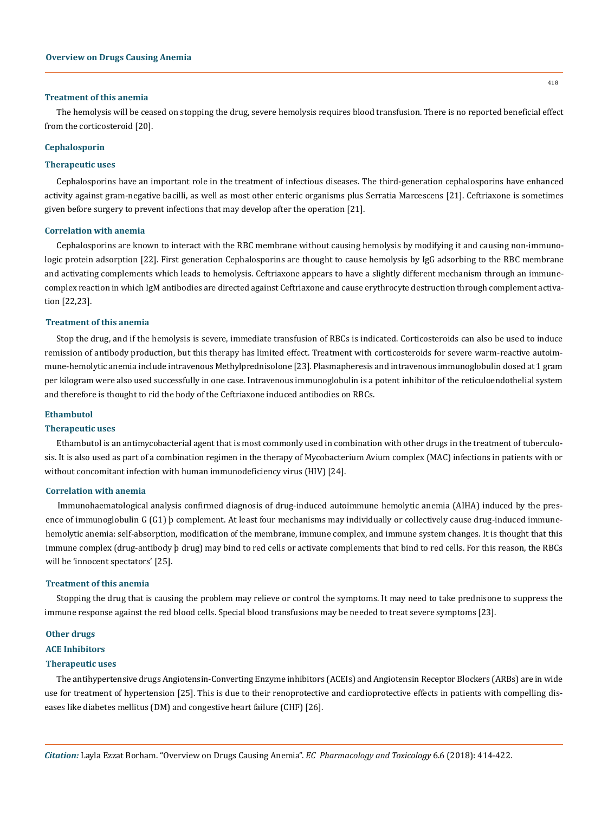#### **Treatment of this anemia**

The hemolysis will be ceased on stopping the drug, severe hemolysis requires blood transfusion. There is no reported beneficial effect from the corticosteroid [20].

#### **Cephalosporin**

#### **Therapeutic uses**

Cephalosporins have an important role in the treatment of infectious diseases. The third-generation cephalosporins have enhanced activity against gram-negative bacilli, as well as most other enteric organisms plus Serratia Marcescens [21]. Ceftriaxone is sometimes given before surgery to prevent infections that may develop after the operation [21].

#### **Correlation with anemia**

Cephalosporins are known to interact with the RBC membrane without causing hemolysis by modifying it and causing non-immunologic protein adsorption [22]. First generation Cephalosporins are thought to cause hemolysis by IgG adsorbing to the RBC membrane and activating complements which leads to hemolysis. Ceftriaxone appears to have a slightly different mechanism through an immunecomplex reaction in which IgM antibodies are directed against Ceftriaxone and cause erythrocyte destruction through complement activation [22,23].

## **Treatment of this anemia**

Stop the drug, and if the hemolysis is severe, immediate transfusion of RBCs is indicated. Corticosteroids can also be used to induce remission of antibody production, but this therapy has limited effect. Treatment with corticosteroids for severe warm-reactive autoimmune-hemolytic anemia include intravenous Methylprednisolone [23]. Plasmapheresis and intravenous immunoglobulin dosed at 1 gram per kilogram were also used successfully in one case. Intravenous immunoglobulin is a potent inhibitor of the reticuloendothelial system and therefore is thought to rid the body of the Ceftriaxone induced antibodies on RBCs.

#### **Ethambutol**

## **Therapeutic uses**

Ethambutol is an antimycobacterial agent that is most commonly used in combination with other drugs in the treatment of tuberculosis. It is also used as part of a combination regimen in the therapy of Mycobacterium Avium complex (MAC) infections in patients with or without concomitant infection with human immunodeficiency virus (HIV) [24].

#### **Correlation with anemia**

Immunohaematological analysis confirmed diagnosis of drug-induced autoimmune hemolytic anemia (AIHA) induced by the presence of immunoglobulin G (G1) þ complement. At least four mechanisms may individually or collectively cause drug-induced immunehemolytic anemia: self-absorption, modification of the membrane, immune complex, and immune system changes. It is thought that this immune complex (drug-antibody þ drug) may bind to red cells or activate complements that bind to red cells. For this reason, the RBCs will be 'innocent spectators' [25].

### **Treatment of this anemia**

Stopping the drug that is causing the problem may relieve or control the symptoms. It may need to take prednisone to suppress the immune response against the red blood cells. Special blood transfusions may be needed to treat severe symptoms [23].

#### **Other drugs**

#### **ACE Inhibitors**

#### **Therapeutic uses**

The antihypertensive drugs Angiotensin-Converting Enzyme inhibitors (ACEIs) and Angiotensin Receptor Blockers (ARBs) are in wide use for treatment of hypertension [25]. This is due to their renoprotective and cardioprotective effects in patients with compelling diseases like diabetes mellitus (DM) and congestive heart failure (CHF) [26].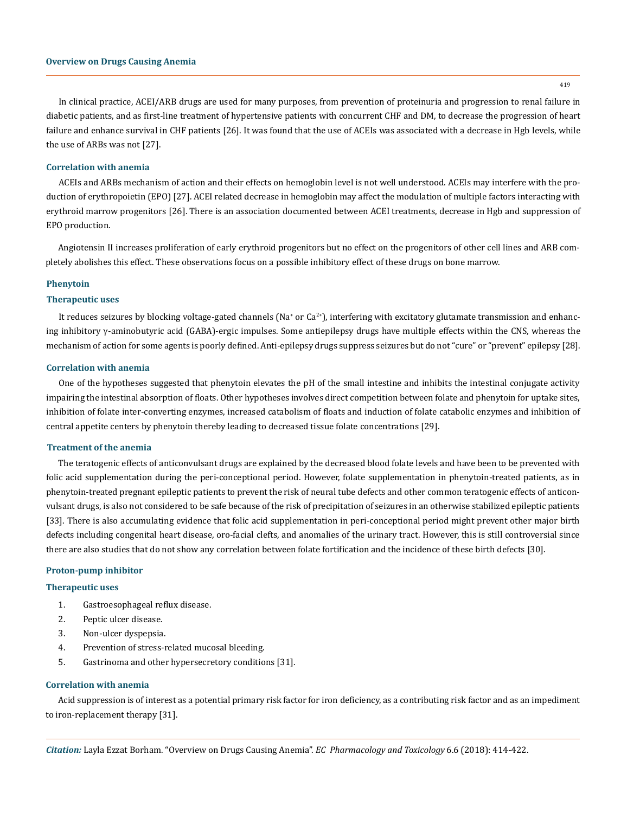419

In clinical practice, ACEI/ARB drugs are used for many purposes, from prevention of proteinuria and progression to renal failure in diabetic patients, and as first-line treatment of hypertensive patients with concurrent CHF and DM, to decrease the progression of heart failure and enhance survival in CHF patients [26]. It was found that the use of ACEIs was associated with a decrease in Hgb levels, while the use of ARBs was not [27].

## **Correlation with anemia**

ACEIs and ARBs mechanism of action and their effects on hemoglobin level is not well understood. ACEIs may interfere with the production of erythropoietin (EPO) [27]. ACEI related decrease in hemoglobin may affect the modulation of multiple factors interacting with erythroid marrow progenitors [26]. There is an association documented between ACEI treatments, decrease in Hgb and suppression of EPO production.

Angiotensin II increases proliferation of early erythroid progenitors but no effect on the progenitors of other cell lines and ARB completely abolishes this effect. These observations focus on a possible inhibitory effect of these drugs on bone marrow.

#### **Phenytoin**

#### **Therapeutic uses**

It reduces seizures by blocking voltage-gated channels ( $Na^*$  or  $Ca^{2*}$ ), interfering with excitatory glutamate transmission and enhancing inhibitory γ-aminobutyric acid (GABA)-ergic impulses. Some antiepilepsy drugs have multiple effects within the CNS, whereas the mechanism of action for some agents is poorly defined. Anti-epilepsy drugs suppress seizures but do not "cure" or "prevent" epilepsy [28].

#### **Correlation with anemia**

One of the hypotheses suggested that phenytoin elevates the pH of the small intestine and inhibits the intestinal conjugate activity impairing the intestinal absorption of floats. Other hypotheses involves direct competition between folate and phenytoin for uptake sites, inhibition of folate inter-converting enzymes, increased catabolism of floats and induction of folate catabolic enzymes and inhibition of central appetite centers by phenytoin thereby leading to decreased tissue folate concentrations [29].

## **Treatment of the anemia**

The teratogenic effects of anticonvulsant drugs are explained by the decreased blood folate levels and have been to be prevented with folic acid supplementation during the peri-conceptional period. However, folate supplementation in phenytoin-treated patients, as in phenytoin-treated pregnant epileptic patients to prevent the risk of neural tube defects and other common teratogenic effects of anticonvulsant drugs, is also not considered to be safe because of the risk of precipitation of seizures in an otherwise stabilized epileptic patients [33]. There is also accumulating evidence that folic acid supplementation in peri-conceptional period might prevent other major birth defects including congenital heart disease, oro-facial clefts, and anomalies of the urinary tract. However, this is still controversial since there are also studies that do not show any correlation between folate fortification and the incidence of these birth defects [30].

#### **Proton-pump inhibitor**

#### **Therapeutic uses**

- 1. Gastroesophageal reflux disease.
- 2. Peptic ulcer disease.
- 3. Non-ulcer dyspepsia.
- 4. Prevention of stress-related mucosal bleeding.
- 5. Gastrinoma and other hypersecretory conditions [31].

#### **Correlation with anemia**

Acid suppression is of interest as a potential primary risk factor for iron deficiency, as a contributing risk factor and as an impediment to iron-replacement therapy [31].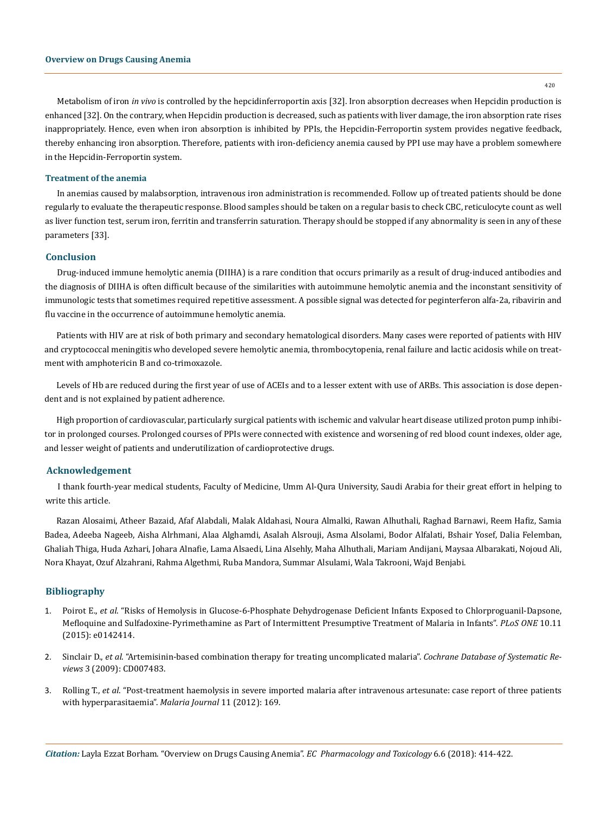420

Metabolism of iron *in vivo* is controlled by the hepcidinferroportin axis [32]. Iron absorption decreases when Hepcidin production is enhanced [32]. On the contrary, when Hepcidin production is decreased, such as patients with liver damage, the iron absorption rate rises inappropriately. Hence, even when iron absorption is inhibited by PPIs, the Hepcidin-Ferroportin system provides negative feedback, thereby enhancing iron absorption. Therefore, patients with iron-deficiency anemia caused by PPI use may have a problem somewhere in the Hepcidin-Ferroportin system.

#### **Treatment of the anemia**

In anemias caused by malabsorption, intravenous iron administration is recommended. Follow up of treated patients should be done regularly to evaluate the therapeutic response. Blood samples should be taken on a regular basis to check CBC, reticulocyte count as well as liver function test, serum iron, ferritin and transferrin saturation. Therapy should be stopped if any abnormality is seen in any of these parameters [33].

### **Conclusion**

Drug-induced immune hemolytic anemia (DIIHA) is a rare condition that occurs primarily as a result of drug-induced antibodies and the diagnosis of DIIHA is often difficult because of the similarities with autoimmune hemolytic anemia and the inconstant sensitivity of immunologic tests that sometimes required repetitive assessment. A possible signal was detected for peginterferon alfa-2a, ribavirin and flu vaccine in the occurrence of autoimmune hemolytic anemia.

Patients with HIV are at risk of both primary and secondary hematological disorders. Many cases were reported of patients with HIV and cryptococcal meningitis who developed severe hemolytic anemia, thrombocytopenia, renal failure and lactic acidosis while on treatment with amphotericin B and co-trimoxazole.

Levels of Hb are reduced during the first year of use of ACEIs and to a lesser extent with use of ARBs. This association is dose dependent and is not explained by patient adherence.

High proportion of cardiovascular, particularly surgical patients with ischemic and valvular heart disease utilized proton pump inhibitor in prolonged courses. Prolonged courses of PPIs were connected with existence and worsening of red blood count indexes, older age, and lesser weight of patients and underutilization of cardioprotective drugs.

#### **Acknowledgement**

I thank fourth-year medical students, Faculty of Medicine, Umm Al-Qura University, Saudi Arabia for their great effort in helping to write this article.

Razan Alosaimi, Atheer Bazaid, Afaf Alabdali, Malak Aldahasi, Noura Almalki, Rawan Alhuthali, Raghad Barnawi, Reem Hafiz, Samia Badea, Adeeba Nageeb, Aisha Alrhmani, Alaa Alghamdi, Asalah Alsrouji, Asma Alsolami, Bodor Alfalati, Bshair Yosef, Dalia Felemban, Ghaliah Thiga, Huda Azhari, Johara Alnafie, Lama Alsaedi, Lina Alsehly, Maha Alhuthali, Mariam Andijani, Maysaa Albarakati, Nojoud Ali, Nora Khayat, Ozuf Alzahrani, Rahma Algethmi, Ruba Mandora, Summar Alsulami, Wala Takrooni, Wajd Benjabi.

## **Bibliography**

- 1. Poirot E., *et al*[. "Risks of Hemolysis in Glucose-6-Phosphate Dehydrogenase Deficient Infants Exposed to Chlorproguanil-Dapsone,](https://www.ncbi.nlm.nih.gov/pubmed/26599634)  [Mefloquine and Sulfadoxine-Pyrimethamine as Part of Intermittent Presumptive Treatment of Malaria in Infants".](https://www.ncbi.nlm.nih.gov/pubmed/26599634) *PLoS ONE* 10.11 [\(2015\): e0142414.](https://www.ncbi.nlm.nih.gov/pubmed/26599634)
- 2. Sinclair D., *et al*[. "Artemisinin-based combination therapy for treating uncomplicated malaria".](https://www.ncbi.nlm.nih.gov/pubmed/19588433) *Cochrane Database of Systematic Reviews* [3 \(2009\): CD007483.](https://www.ncbi.nlm.nih.gov/pubmed/19588433)
- 3. Rolling T., *et al*[. "Post-treatment haemolysis in severe imported malaria after intravenous artesunate: case report of three patients](https://www.ncbi.nlm.nih.gov/pubmed/22594446)  [with hyperparasitaemia".](https://www.ncbi.nlm.nih.gov/pubmed/22594446) *Malaria Journal* 11 (2012): 169.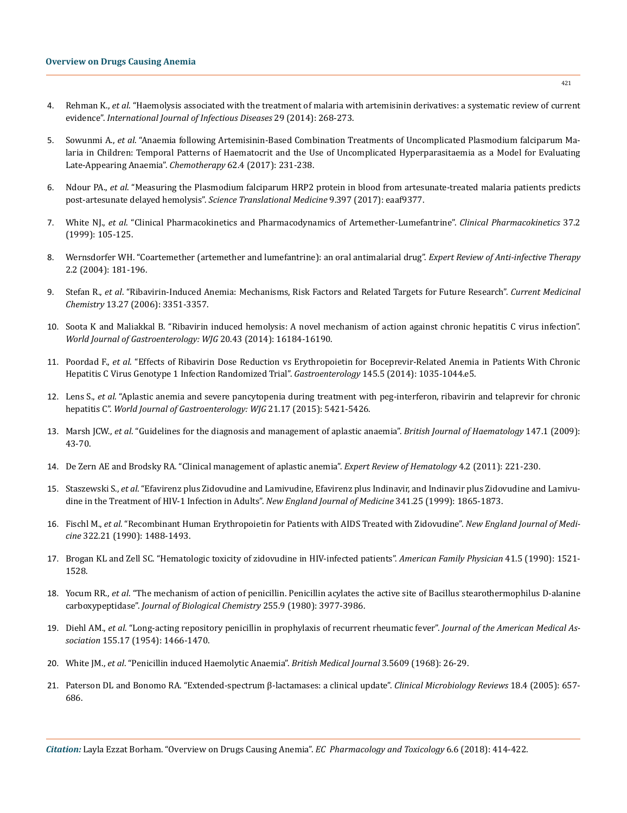- 4. Rehman K., *et al*[. "Haemolysis associated with the treatment of malaria with artemisinin derivatives: a systematic review of current](https://www.ncbi.nlm.nih.gov/pubmed/25448338)  evidence". *[International Journal of Infectious Diseases](https://www.ncbi.nlm.nih.gov/pubmed/25448338)* 29 (2014): 268-273.
- 5. Sowunmi A., *et al*[. "Anaemia following Artemisinin-Based Combination Treatments of Uncomplicated Plasmodium falciparum Ma](https://www.ncbi.nlm.nih.gov/pubmed/28448988)[laria in Children: Temporal Patterns of Haematocrit and the Use of Uncomplicated Hyperparasitaemia as a Model for Evaluating](https://www.ncbi.nlm.nih.gov/pubmed/28448988)  [Late-Appearing Anaemia".](https://www.ncbi.nlm.nih.gov/pubmed/28448988) *Chemotherapy* 62.4 (2017): 231-238.
- 6. Ndour PA., *et al*[. "Measuring the Plasmodium falciparum HRP2 protein in blood from artesunate-treated malaria patients predicts](http://stm.sciencemag.org/content/9/397/eaaf9377)  [post-artesunate delayed hemolysis".](http://stm.sciencemag.org/content/9/397/eaaf9377) *Science Translational Medicine* 9.397 (2017): eaaf9377.
- 7. White NJ., *et al*[. "Clinical Pharmacokinetics and Pharmacodynamics of Artemether-Lumefantrine".](https://www.ncbi.nlm.nih.gov/pubmed/10496300) *Clinical Pharmacokinetics* 37.2 [\(1999\): 105-125.](https://www.ncbi.nlm.nih.gov/pubmed/10496300)
- 8. [Wernsdorfer WH. "Coartemether \(artemether and lumefantrine\): an oral antimalarial drug".](https://www.ncbi.nlm.nih.gov/pubmed/15482185) *Expert Review of Anti-infective Therapy* [2.2 \(2004\): 181-196.](https://www.ncbi.nlm.nih.gov/pubmed/15482185)
- 9. Stefan R., *et al*[. "Ribavirin-Induced Anemia: Mechanisms, Risk Factors and Related Targets for Future Research".](https://www.ncbi.nlm.nih.gov/pubmed/17168855) *Current Medicinal Chemistry* [13.27 \(2006\): 3351-3357.](https://www.ncbi.nlm.nih.gov/pubmed/17168855)
- 10. [Soota K and Maliakkal B. "Ribavirin induced hemolysis: A novel mechanism of action against chronic hepatitis C virus infection".](https://www.ncbi.nlm.nih.gov/pmc/articles/PMC4239506/)  *[World Journal of Gastroenterology: WJG](https://www.ncbi.nlm.nih.gov/pmc/articles/PMC4239506/)* 20.43 (2014): 16184-16190.
- 11. Poordad F., *et al*[. "Effects of Ribavirin Dose Reduction vs Erythropoietin for Boceprevir-Related Anemia in Patients With Chronic](https://www.ncbi.nlm.nih.gov/pubmed/23924660)  [Hepatitis C Virus Genotype 1 Infection Randomized Trial".](https://www.ncbi.nlm.nih.gov/pubmed/23924660) *Gastroenterology* 145.5 (2014): 1035-1044.e5.
- 12. Lens S., *et al*[. "Aplastic anemia and severe pancytopenia during treatment with peg-interferon, ribavirin and telaprevir for chronic](https://www.ncbi.nlm.nih.gov/pubmed/25954117)  hepatitis C". *[World Journal of Gastroenterology: WJG](https://www.ncbi.nlm.nih.gov/pubmed/25954117)* 21.17 (2015): 5421-5426.
- 13. Marsh JCW., *et al*[. "Guidelines for the diagnosis and management of aplastic anaemia".](https://www.ncbi.nlm.nih.gov/pubmed/19673883) *British Journal of Haematology* 147.1 (2009): [43-70.](https://www.ncbi.nlm.nih.gov/pubmed/19673883)
- 14. [De Zern AE and Brodsky RA. "Clinical management of aplastic anemia".](https://www.ncbi.nlm.nih.gov/pmc/articles/PMC3138728/) *Expert Review of Hematology* 4.2 (2011): 221-230.
- 15. Staszewski S., *et al*[. "Efavirenz plus Zidovudine and Lamivudine, Efavirenz plus Indinavir, and Indinavir plus Zidovudine and Lamivu](https://www.ncbi.nlm.nih.gov/pubmed/10601505)[dine in the Treatment of HIV-1 Infection in Adults".](https://www.ncbi.nlm.nih.gov/pubmed/10601505) *New England Journal of Medicine* 341.25 (1999): 1865-1873.
- 16. Fischl M., *et al*[. "Recombinant Human Erythropoietin for Patients with AIDS Treated with Zidovudine".](https://www.ncbi.nlm.nih.gov/pubmed/2186273) *New England Journal of Medicine* [322.21 \(1990\): 1488-1493.](https://www.ncbi.nlm.nih.gov/pubmed/2186273)
- 17. [Brogan KL and Zell SC. "Hematologic toxicity of zidovudine in HIV-infected patients".](https://www.ncbi.nlm.nih.gov/pubmed/1692180) *American Family Physician* 41.5 (1990): 1521- [1528.](https://www.ncbi.nlm.nih.gov/pubmed/1692180)
- 18. Yocum RR., *et al*[. "The mechanism of action of penicillin. Penicillin acylates the active site of Bacillus stearothermophilus D-alanine](https://www.ncbi.nlm.nih.gov/pubmed/7372662)  carboxypeptidase". *[Journal of Biological Chemistry](https://www.ncbi.nlm.nih.gov/pubmed/7372662)* 255.9 (1980): 3977-3986.
- 19. Diehl AM., *et al*[. "Long-acting repository penicillin in prophylaxis of recurrent rheumatic fever".](https://www.ncbi.nlm.nih.gov/pubmed/13183765) *Journal of the American Medical Association* [155.17 \(1954\): 1466-1470.](https://www.ncbi.nlm.nih.gov/pubmed/13183765)
- 20. White JM., *et al*[. "Penicillin induced Haemolytic Anaemia".](https://www.ncbi.nlm.nih.gov/pmc/articles/PMC1989488/) *British Medical Journal* 3.5609 (1968): 26-29.
- 21. [Paterson DL and Bonomo RA. "Extended-spectrum β-lactamases: a clinical update".](https://www.ncbi.nlm.nih.gov/pubmed/16223952) *Clinical Microbiology Reviews* 18.4 (2005): 657- [686.](https://www.ncbi.nlm.nih.gov/pubmed/16223952)